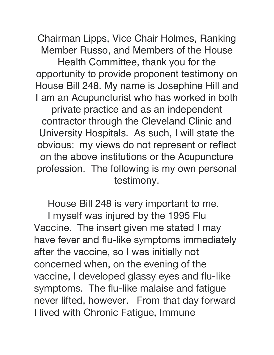Chairman Lipps, Vice Chair Holmes, Ranking Member Russo, and Members of the House Health Committee, thank you for the opportunity to provide proponent testimony on House Bill 248. My name is Josephine Hill and I am an Acupuncturist who has worked in both private practice and as an independent contractor through the Cleveland Clinic and University Hospitals. As such, I will state the obvious: my views do not represent or reflect on the above institutions or the Acupuncture profession. The following is my own personal testimony.

House Bill 248 is very important to me.

I myself was injured by the 1995 Flu Vaccine. The insert given me stated I may have fever and flu-like symptoms immediately after the vaccine, so I was initially not concerned when, on the evening of the vaccine, I developed glassy eyes and flu-like symptoms. The flu-like malaise and fatigue never lifted, however. From that day forward I lived with Chronic Fatigue, Immune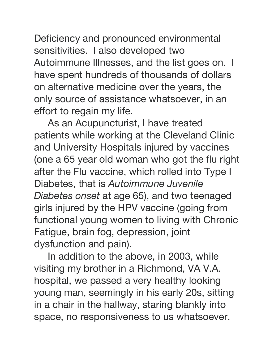Deficiency and pronounced environmental sensitivities. I also developed two Autoimmune Illnesses, and the list goes on. I have spent hundreds of thousands of dollars on alternative medicine over the years, the only source of assistance whatsoever, in an effort to regain my life.

As an Acupuncturist, I have treated patients while working at the Cleveland Clinic and University Hospitals injured by vaccines (one a 65 year old woman who got the flu right after the Flu vaccine, which rolled into Type I Diabetes, that is *Autoimmune Juvenile Diabetes onset* at age 65), and two teenaged girls injured by the HPV vaccine (going from functional young women to living with Chronic Fatigue, brain fog, depression, joint dysfunction and pain).

In addition to the above, in 2003, while visiting my brother in a Richmond, VA V.A. hospital, we passed a very healthy looking young man, seemingly in his early 20s, sitting in a chair in the hallway, staring blankly into space, no responsiveness to us whatsoever.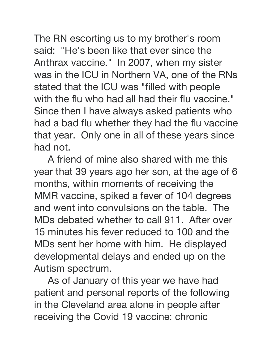The RN escorting us to my brother's room said: "He's been like that ever since the Anthrax vaccine." In 2007, when my sister was in the ICU in Northern VA, one of the RNs stated that the ICU was "filled with people with the flu who had all had their flu vaccine." Since then I have always asked patients who had a bad flu whether they had the flu vaccine that year. Only one in all of these years since had not.

A friend of mine also shared with me this year that 39 years ago her son, at the age of 6 months, within moments of receiving the MMR vaccine, spiked a fever of 104 degrees and went into convulsions on the table. The MDs debated whether to call 911. After over 15 minutes his fever reduced to 100 and the MDs sent her home with him. He displayed developmental delays and ended up on the Autism spectrum.

As of January of this year we have had patient and personal reports of the following in the Cleveland area alone in people after receiving the Covid 19 vaccine: chronic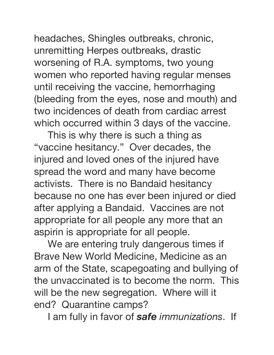headaches, Shingles outbreaks, chronic, unremitting Herpes outbreaks, drastic worsening of R.A. symptoms, two young women who reported having regular menses until receiving the vaccine, hemorrhaging (bleeding from the eyes, nose and mouth) and two incidences of death from cardiac arrest which occurred within 3 days of the vaccine.

This is why there is such a thing as "vaccine hesitancy." Over decades, the injured and loved ones of the injured have spread the word and many have become activists. There is no Bandaid hesitancy because no one has ever been injured or died after applying a Bandaid. Vaccines are not appropriate for all people any more that an aspirin is appropriate for all people.

We are entering truly dangerous times if Brave New World Medicine, Medicine as an arm of the State, scapegoating and bullying of the unvaccinated is to become the norm. This will be the new segregation. Where will it end? Quarantine camps?

I am fully in favor of *safe immunizations*. If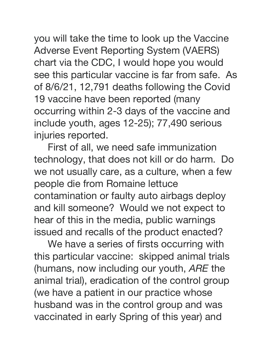you will take the time to look up the Vaccine Adverse Event Reporting System (VAERS) chart via the CDC, I would hope you would see this particular vaccine is far from safe. As of 8/6/21, 12,791 deaths following the Covid 19 vaccine have been reported (many occurring within 2-3 days of the vaccine and include youth, ages 12-25); 77,490 serious injuries reported.

First of all, we need safe immunization technology, that does not kill or do harm. Do we not usually care, as a culture, when a few people die from Romaine lettuce contamination or faulty auto airbags deploy and kill someone? Would we not expect to hear of this in the media, public warnings issued and recalls of the product enacted?

We have a series of firsts occurring with this particular vaccine: skipped animal trials (humans, now including our youth, *ARE* the animal trial), eradication of the control group (we have a patient in our practice whose husband was in the control group and was vaccinated in early Spring of this year) and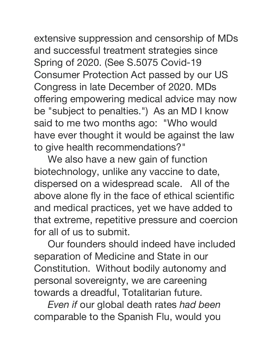extensive suppression and censorship of MDs and successful treatment strategies since Spring of 2020. (See S.5075 Covid-19 Consumer Protection Act passed by our US Congress in late December of 2020. MDs offering empowering medical advice may now be "subject to penalties.") As an MD I know said to me two months ago: "Who would have ever thought it would be against the law to give health recommendations?"

We also have a new gain of function biotechnology, unlike any vaccine to date, dispersed on a widespread scale. All of the above alone fly in the face of ethical scientific and medical practices, yet we have added to that extreme, repetitive pressure and coercion for all of us to submit.

Our founders should indeed have included separation of Medicine and State in our Constitution. Without bodily autonomy and personal sovereignty, we are careening towards a dreadful, Totalitarian future.

*Even if* our global death rates *had been* comparable to the Spanish Flu, would you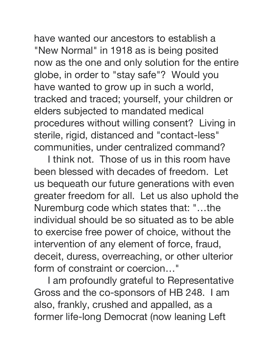have wanted our ancestors to establish a "New Normal" in 1918 as is being posited now as the one and only solution for the entire globe, in order to "stay safe"? Would you have wanted to grow up in such a world, tracked and traced; yourself, your children or elders subjected to mandated medical procedures without willing consent? Living in sterile, rigid, distanced and "contact-less" communities, under centralized command?

I think not. Those of us in this room have been blessed with decades of freedom. Let us bequeath our future generations with even greater freedom for all. Let us also uphold the Nuremburg code which states that: "…the individual should be so situated as to be able to exercise free power of choice, without the intervention of any element of force, fraud, deceit, duress, overreaching, or other ulterior form of constraint or coercion…"

I am profoundly grateful to Representative Gross and the co-sponsors of HB 248. I am also, frankly, crushed and appalled, as a former life-long Democrat (now leaning Left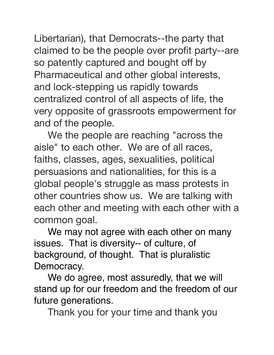Libertarian), that Democrats--the party that claimed to be the people over profit party--are so patently captured and bought off by Pharmaceutical and other global interests, and lock-stepping us rapidly towards centralized control of all aspects of life, the very opposite of grassroots empowerment for and of the people.

We the people are reaching "across the aisle" to each other. We are of all races, faiths, classes, ages, sexualities, political persuasions and nationalities, for this is a global people's struggle as mass protests in other countries show us. We are talking with each other and meeting with each other with a common goal.

We may not agree with each other on many issues. That is diversity-- of culture, of background, of thought. That is pluralistic Democracy.

We do agree, most assuredly, that we will stand up for our freedom and the freedom of our future generations.

Thank you for your time and thank you